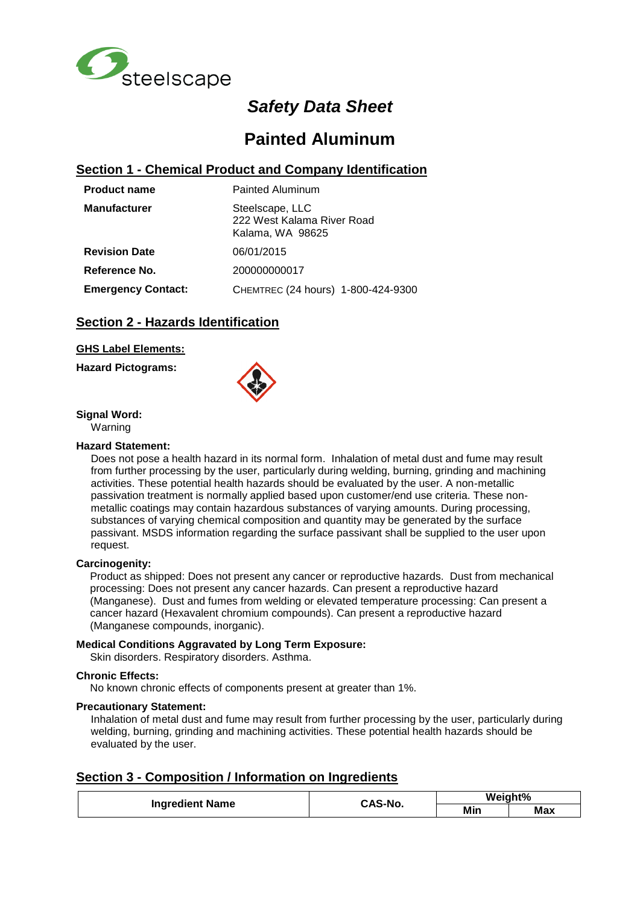

# *Safety Data Sheet*

# **Painted Aluminum**

### **Section 1 - Chemical Product and Company Identification**

| <b>Product name</b>       | Painted Aluminum                                                  |  |  |
|---------------------------|-------------------------------------------------------------------|--|--|
| <b>Manufacturer</b>       | Steelscape, LLC<br>222 West Kalama River Road<br>Kalama, WA 98625 |  |  |
| <b>Revision Date</b>      | 06/01/2015                                                        |  |  |
| Reference No.             | 200000000017                                                      |  |  |
| <b>Emergency Contact:</b> | CHEMTREC (24 hours) 1-800-424-9300                                |  |  |

## **Section 2 - Hazards Identification**

### **GHS Label Elements:**

**Hazard Pictograms:**



**Signal Word:**

Warning

### **Hazard Statement:**

Does not pose a health hazard in its normal form. Inhalation of metal dust and fume may result from further processing by the user, particularly during welding, burning, grinding and machining activities. These potential health hazards should be evaluated by the user. A non-metallic passivation treatment is normally applied based upon customer/end use criteria. These nonmetallic coatings may contain hazardous substances of varying amounts. During processing, substances of varying chemical composition and quantity may be generated by the surface passivant. MSDS information regarding the surface passivant shall be supplied to the user upon request.

### **Carcinogenity:**

Product as shipped: Does not present any cancer or reproductive hazards. Dust from mechanical processing: Does not present any cancer hazards. Can present a reproductive hazard (Manganese). Dust and fumes from welding or elevated temperature processing: Can present a cancer hazard (Hexavalent chromium compounds). Can present a reproductive hazard (Manganese compounds, inorganic).

### **Medical Conditions Aggravated by Long Term Exposure:**

Skin disorders. Respiratory disorders. Asthma.

### **Chronic Effects:**

No known chronic effects of components present at greater than 1%.

### **Precautionary Statement:**

Inhalation of metal dust and fume may result from further processing by the user, particularly during welding, burning, grinding and machining activities. These potential health hazards should be evaluated by the user.

### **Section 3 - Composition / Information on Ingredients**

|                        | CAS-No. | Weight% |            |
|------------------------|---------|---------|------------|
| <b>Ingredient Name</b> |         | Min     | <b>Max</b> |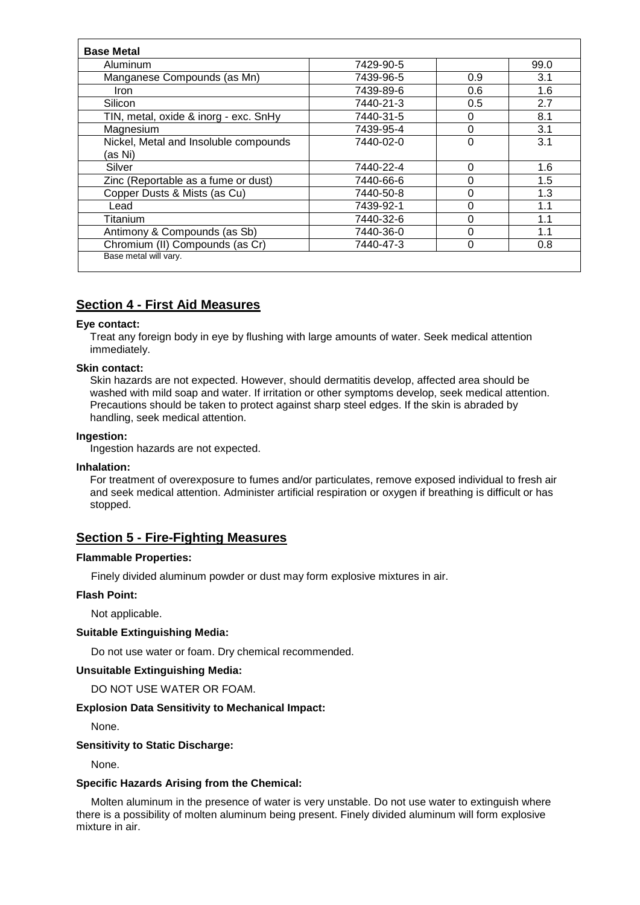| Aluminum                              | 7429-90-5 |          | 99.0 |
|---------------------------------------|-----------|----------|------|
| Manganese Compounds (as Mn)           | 7439-96-5 | 0.9      | 3.1  |
| Iron                                  | 7439-89-6 | 0.6      | 1.6  |
| Silicon                               | 7440-21-3 | 0.5      | 2.7  |
| TIN, metal, oxide & inorg - exc. SnHy | 7440-31-5 | 0        | 8.1  |
| Magnesium                             | 7439-95-4 | 0        | 3.1  |
| Nickel, Metal and Insoluble compounds | 7440-02-0 | 0        | 3.1  |
| (as Ni)                               |           |          |      |
| Silver                                | 7440-22-4 | 0        | 1.6  |
| Zinc (Reportable as a fume or dust)   | 7440-66-6 | $\Omega$ | 1.5  |
| Copper Dusts & Mists (as Cu)          | 7440-50-8 | $\Omega$ | 1.3  |
| Lead                                  | 7439-92-1 | $\Omega$ | 1.1  |
| Titanium                              | 7440-32-6 | 0        | 1.1  |
| Antimony & Compounds (as Sb)          | 7440-36-0 | $\Omega$ | 1.1  |
| Chromium (II) Compounds (as Cr)       | 7440-47-3 | 0        | 0.8  |

# **Section 4 - First Aid Measures**

### **Eye contact:**

Treat any foreign body in eye by flushing with large amounts of water. Seek medical attention immediately.

#### **Skin contact:**

Skin hazards are not expected. However, should dermatitis develop, affected area should be washed with mild soap and water. If irritation or other symptoms develop, seek medical attention. Precautions should be taken to protect against sharp steel edges. If the skin is abraded by handling, seek medical attention.

### **Ingestion:**

Ingestion hazards are not expected.

### **Inhalation:**

For treatment of overexposure to fumes and/or particulates, remove exposed individual to fresh air and seek medical attention. Administer artificial respiration or oxygen if breathing is difficult or has stopped.

### **Section 5 - Fire-Fighting Measures**

#### **Flammable Properties:**

Finely divided aluminum powder or dust may form explosive mixtures in air.

### **Flash Point:**

Not applicable.

### **Suitable Extinguishing Media:**

Do not use water or foam. Dry chemical recommended.

### **Unsuitable Extinguishing Media:**

DO NOT USE WATER OR FOAM.

### **Explosion Data Sensitivity to Mechanical Impact:**

None.

### **Sensitivity to Static Discharge:**

None.

#### **Specific Hazards Arising from the Chemical:**

 Molten aluminum in the presence of water is very unstable. Do not use water to extinguish where there is a possibility of molten aluminum being present. Finely divided aluminum will form explosive mixture in air.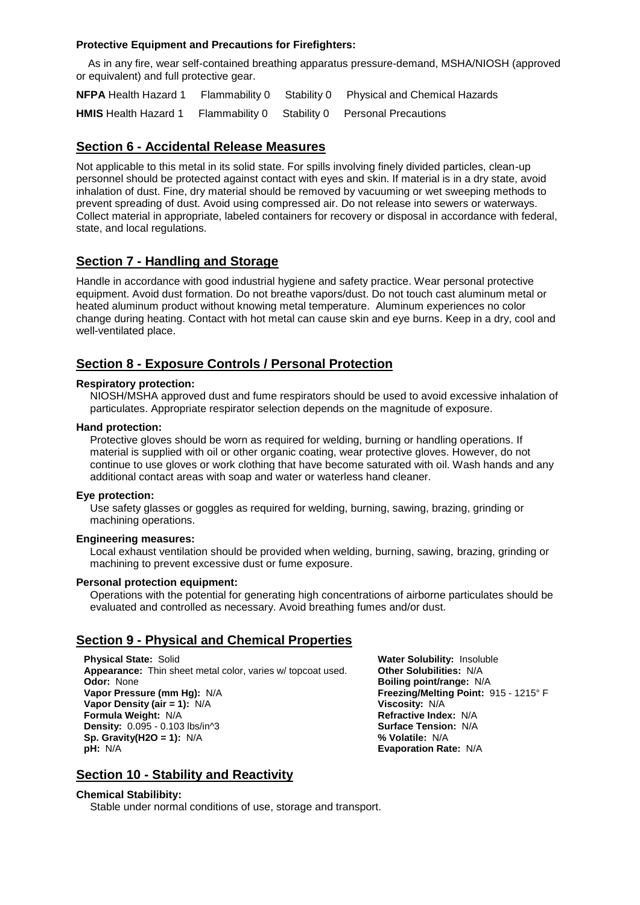### **Protective Equipment and Precautions for Firefighters:**

 As in any fire, wear self-contained breathing apparatus pressure-demand, MSHA/NIOSH (approved or equivalent) and full protective gear.

**NFPA** Health Hazard 1 Flammability 0 Stability 0 Physical and Chemical Hazards **HMIS** Health Hazard 1 Flammability 0 Stability 0 Personal Precautions

## **Section 6 - Accidental Release Measures**

Not applicable to this metal in its solid state. For spills involving finely divided particles, clean-up personnel should be protected against contact with eyes and skin. If material is in a dry state, avoid inhalation of dust. Fine, dry material should be removed by vacuuming or wet sweeping methods to prevent spreading of dust. Avoid using compressed air. Do not release into sewers or waterways. Collect material in appropriate, labeled containers for recovery or disposal in accordance with federal, state, and local regulations.

## **Section 7 - Handling and Storage**

Handle in accordance with good industrial hygiene and safety practice. Wear personal protective equipment. Avoid dust formation. Do not breathe vapors/dust. Do not touch cast aluminum metal or heated aluminum product without knowing metal temperature. Aluminum experiences no color change during heating. Contact with hot metal can cause skin and eye burns. Keep in a dry, cool and well-ventilated place.

### **Section 8 - Exposure Controls / Personal Protection**

### **Respiratory protection:**

NIOSH/MSHA approved dust and fume respirators should be used to avoid excessive inhalation of particulates. Appropriate respirator selection depends on the magnitude of exposure.

#### **Hand protection:**

Protective gloves should be worn as required for welding, burning or handling operations. If material is supplied with oil or other organic coating, wear protective gloves. However, do not continue to use gloves or work clothing that have become saturated with oil. Wash hands and any additional contact areas with soap and water or waterless hand cleaner.

### **Eye protection:**

Use safety glasses or goggles as required for welding, burning, sawing, brazing, grinding or machining operations.

### **Engineering measures:**

Local exhaust ventilation should be provided when welding, burning, sawing, brazing, grinding or machining to prevent excessive dust or fume exposure.

#### **Personal protection equipment:**

Operations with the potential for generating high concentrations of airborne particulates should be evaluated and controlled as necessary. Avoid breathing fumes and/or dust.

### **Section 9 - Physical and Chemical Properties**

**Physical State:** Solid **Physical State:** Solid **Water Solubility:** Insoluble **Appearance:** Thin sheet metal color, varies w/ topcoat used. **Other Solubilities:** N/A **Appearance:** Thin sheet metal color, varies w/ topcoat used. **Odor:** None **Vapor Pressure (mm Hg):** N/A **Freezing/Melting Point:** 915 - 1215° F<br> **Vapor Density (air = 1):** N/A **Freezing/Melting Point:** 915 - 1215° F **Vapor Density (air = 1):**  $N/A$  **Viscosity:**  $N/A$  **Viscosity:**  $N/A$  **Permula Weight:**  $N/A$  **Permula Weight:**  $N/A$ **Formula Weight: N/A Density:** 0.095 - 0.103 lbs/in^3 **Surface Tension:** N/A **Sp. Gravity(H2O = 1): N/A pH:** N/A **Evaporation Rate:** N/A

**Boiling point/range: N/A** 

### **Section 10 - Stability and Reactivity**

#### **Chemical Stabilibity:**

Stable under normal conditions of use, storage and transport.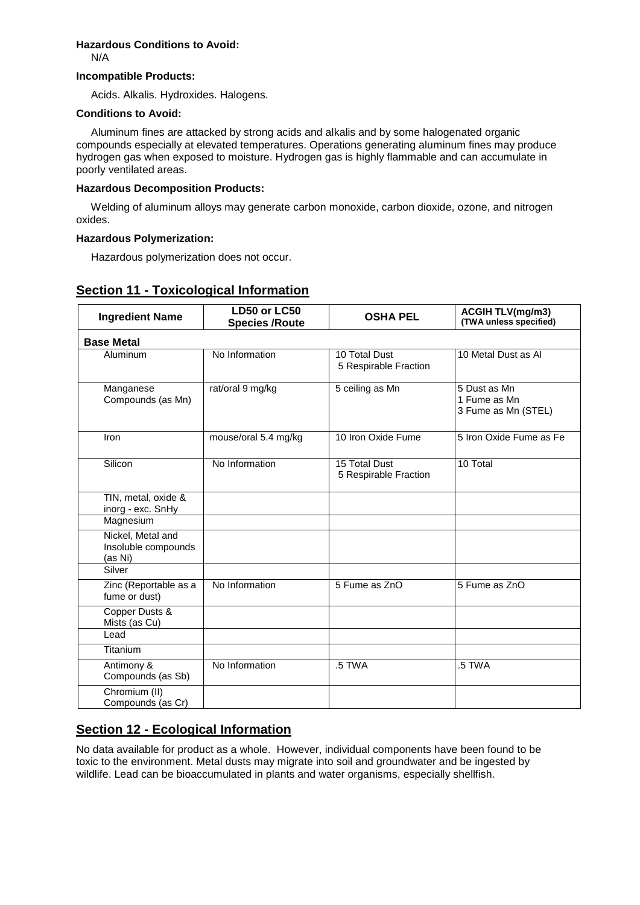### **Hazardous Conditions to Avoid:**

N/A

### **Incompatible Products:**

Acids. Alkalis. Hydroxides. Halogens.

#### **Conditions to Avoid:**

 Aluminum fines are attacked by strong acids and alkalis and by some halogenated organic compounds especially at elevated temperatures. Operations generating aluminum fines may produce hydrogen gas when exposed to moisture. Hydrogen gas is highly flammable and can accumulate in poorly ventilated areas.

### **Hazardous Decomposition Products:**

 Welding of aluminum alloys may generate carbon monoxide, carbon dioxide, ozone, and nitrogen oxides.

### **Hazardous Polymerization:**

Hazardous polymerization does not occur.

### **Section 11 - Toxicological Information**

| <b>Ingredient Name</b>                              | LD50 or LC50<br><b>Species /Route</b> | <b>OSHA PEL</b>                        | <b>ACGIH TLV(mg/m3)</b><br>(TWA unless specified)   |  |  |  |  |  |
|-----------------------------------------------------|---------------------------------------|----------------------------------------|-----------------------------------------------------|--|--|--|--|--|
| <b>Base Metal</b>                                   |                                       |                                        |                                                     |  |  |  |  |  |
| Aluminum                                            | No Information                        | 10 Total Dust<br>5 Respirable Fraction | 10 Metal Dust as Al                                 |  |  |  |  |  |
| Manganese<br>Compounds (as Mn)                      | rat/oral 9 mg/kg                      | 5 ceiling as Mn                        | 5 Dust as Mn<br>1 Fume as Mn<br>3 Fume as Mn (STEL) |  |  |  |  |  |
| Iron                                                | mouse/oral 5.4 mg/kg                  | 10 Iron Oxide Fume                     | 5 Iron Oxide Fume as Fe                             |  |  |  |  |  |
| Silicon                                             | No Information                        | 15 Total Dust<br>5 Respirable Fraction | 10 Total                                            |  |  |  |  |  |
| TIN, metal, oxide &<br>inorg - exc. SnHy            |                                       |                                        |                                                     |  |  |  |  |  |
| Magnesium                                           |                                       |                                        |                                                     |  |  |  |  |  |
| Nickel, Metal and<br>Insoluble compounds<br>(as Ni) |                                       |                                        |                                                     |  |  |  |  |  |
| Silver                                              |                                       |                                        |                                                     |  |  |  |  |  |
| Zinc (Reportable as a<br>fume or dust)              | No Information                        | 5 Fume as ZnO                          | 5 Fume as ZnO                                       |  |  |  |  |  |
| Copper Dusts &<br>Mists (as Cu)                     |                                       |                                        |                                                     |  |  |  |  |  |
| Lead                                                |                                       |                                        |                                                     |  |  |  |  |  |
| Titanium                                            |                                       |                                        |                                                     |  |  |  |  |  |
| Antimony &<br>Compounds (as Sb)                     | No Information                        | .5 TWA                                 | .5 TWA                                              |  |  |  |  |  |
| Chromium (II)<br>Compounds (as Cr)                  |                                       |                                        |                                                     |  |  |  |  |  |

# **Section 12 - Ecological Information**

No data available for product as a whole. However, individual components have been found to be toxic to the environment. Metal dusts may migrate into soil and groundwater and be ingested by wildlife. Lead can be bioaccumulated in plants and water organisms, especially shellfish.